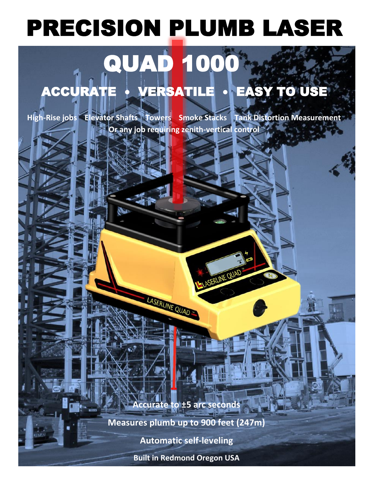## PRECISION PLUMB LASER

## QUAD 1000 ACCURATE • VERSATILE • EASY TO USE

**High-Rise jobs Elevator Shafts Towers Smoke Stacks Tank Distortion Measurement Or any job requiring zenith-vertical control** l

**Accurate to ±5 arc seconds** 

LASERLINE QUAD

ERLINE QUAD

**Measures plumb up to 900 feet (247m)**

**Automatic self-leveling**

**Built in Redmond Oregon USA**